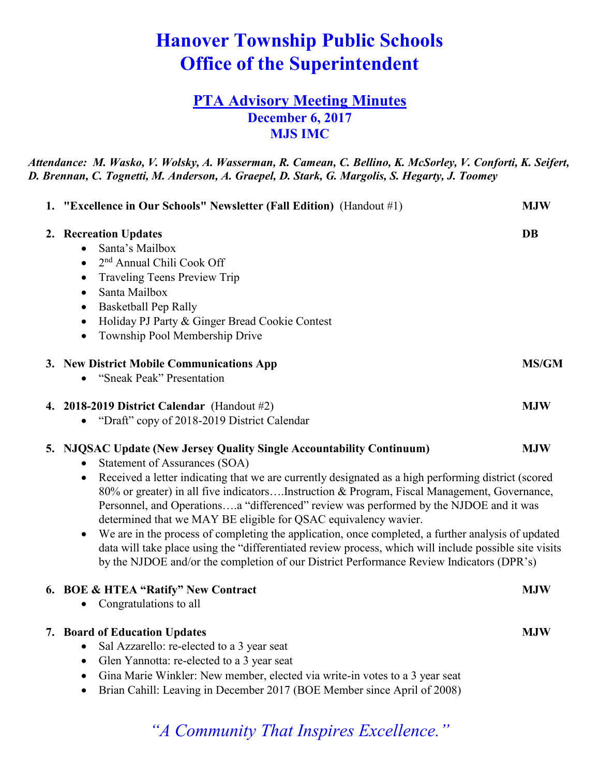# **Hanover Township Public Schools Office of the Superintendent**

## **PTA Advisory Meeting Minutes December 6, 2017 MJS IMC**

*Attendance: M. Wasko, V. Wolsky, A. Wasserman, R. Camean, C. Bellino, K. McSorley, V. Conforti, K. Seifert, D. Brennan, C. Tognetti, M. Anderson, A. Graepel, D. Stark, G. Margolis, S. Hegarty, J. Toomey*

| 1. "Excellence in Our Schools" Newsletter (Fall Edition) (Handout #1)                                                                                                                                                                                                                                                                                                                                                                                                                                                                                                                                                                                                                                                                                                                                                                            | <b>MJW</b>   |
|--------------------------------------------------------------------------------------------------------------------------------------------------------------------------------------------------------------------------------------------------------------------------------------------------------------------------------------------------------------------------------------------------------------------------------------------------------------------------------------------------------------------------------------------------------------------------------------------------------------------------------------------------------------------------------------------------------------------------------------------------------------------------------------------------------------------------------------------------|--------------|
| 2. Recreation Updates<br>Santa's Mailbox<br>$\bullet$<br>2 <sup>nd</sup> Annual Chili Cook Off<br>$\bullet$<br>Traveling Teens Preview Trip<br>$\bullet$<br>Santa Mailbox<br>$\bullet$<br><b>Basketball Pep Rally</b><br>$\bullet$<br>Holiday PJ Party & Ginger Bread Cookie Contest<br>$\bullet$<br>Township Pool Membership Drive<br>$\bullet$                                                                                                                                                                                                                                                                                                                                                                                                                                                                                                 | <b>DB</b>    |
| 3. New District Mobile Communications App<br>"Sneak Peak" Presentation                                                                                                                                                                                                                                                                                                                                                                                                                                                                                                                                                                                                                                                                                                                                                                           | <b>MS/GM</b> |
| 4. 2018-2019 District Calendar (Handout $#2$ )<br>"Draft" copy of 2018-2019 District Calendar<br>$\bullet$                                                                                                                                                                                                                                                                                                                                                                                                                                                                                                                                                                                                                                                                                                                                       | <b>MJW</b>   |
| 5. NJQSAC Update (New Jersey Quality Single Accountability Continuum)<br><b>MJW</b><br><b>Statement of Assurances (SOA)</b><br>$\bullet$<br>Received a letter indicating that we are currently designated as a high performing district (scored<br>$\bullet$<br>80% or greater) in all five indicatorsInstruction & Program, Fiscal Management, Governance,<br>Personnel, and Operationsa "differenced" review was performed by the NJDOE and it was<br>determined that we MAY BE eligible for QSAC equivalency wavier.<br>We are in the process of completing the application, once completed, a further analysis of updated<br>$\bullet$<br>data will take place using the "differentiated review process, which will include possible site visits<br>by the NJDOE and/or the completion of our District Performance Review Indicators (DPR's) |              |
| 6. BOE & HTEA "Ratify" New Contract<br>Congratulations to all                                                                                                                                                                                                                                                                                                                                                                                                                                                                                                                                                                                                                                                                                                                                                                                    | <b>MJW</b>   |
| 7. Board of Education Updates<br>Sal Azzarello: re-elected to a 3 year seat<br>Glen Yannotta: re-elected to a 3 year seat<br>Gina Marie Winkler: New member, elected via write-in votes to a 3 year seat<br>$\bullet$<br>Brian Cahill: Leaving in December 2017 (BOE Member since April of 2008)<br>٠                                                                                                                                                                                                                                                                                                                                                                                                                                                                                                                                            | <b>MJW</b>   |

*"A Community That Inspires Excellence."*